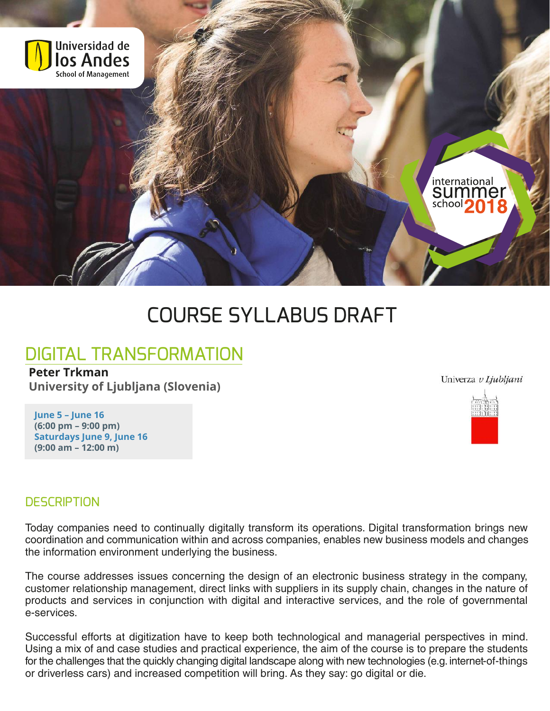

# COURSE SYLLABUS DRAFT

## DIGITAL TRANSFORMATION

**Peter Trkman University of Ljubljana (Slovenia)**

Univerza v Ljubljani



#### **June 5 – June 16 (6:00 pm – 9:00 pm) Saturdays June 9, June 16 (9:00 am – 12:00 m)**

#### **DESCRIPTION**

Today companies need to continually digitally transform its operations. Digital transformation brings new coordination and communication within and across companies, enables new business models and changes the information environment underlying the business.

The course addresses issues concerning the design of an electronic business strategy in the company, customer relationship management, direct links with suppliers in its supply chain, changes in the nature of products and services in conjunction with digital and interactive services, and the role of governmental e-services.

Successful efforts at digitization have to keep both technological and managerial perspectives in mind. Using a mix of and case studies and practical experience, the aim of the course is to prepare the students for the challenges that the quickly changing digital landscape along with new technologies (e.g. internet-of-things or driverless cars) and increased competition will bring. As they say: go digital or die.